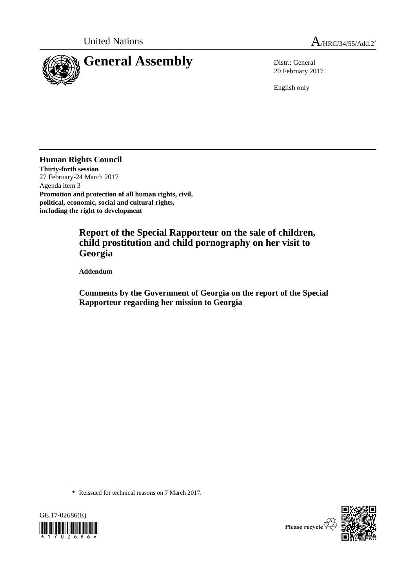

20 February 2017

English only

**Human Rights Council Thirty-forth session** 27 February-24 March 2017 Agenda item 3 **Promotion and protection of all human rights, civil, political, economic, social and cultural rights, including the right to development**

> **Report of the Special Rapporteur on the sale of children, child prostitution and child pornography on her visit to Georgia**

**Addendum**

**Comments by the Government of Georgia on the report of the Special Rapporteur regarding her mission to Georgia**

\* Reissued for technical reasons on 7 March 2017.



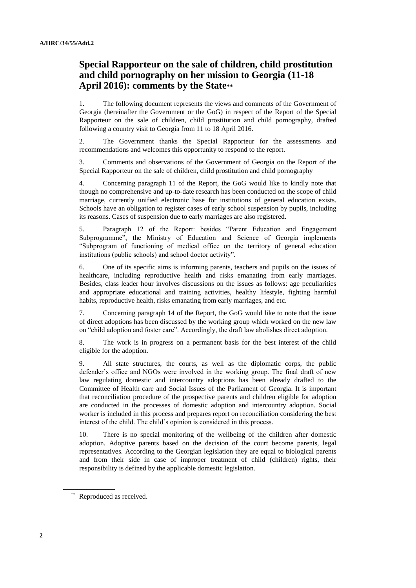## **Special Rapporteur on the sale of children, child prostitution and child pornography on her mission to Georgia (11-18 April 2016): comments by the State\*\***

1. The following document represents the views and comments of the Government of Georgia (hereinafter the Government or the GoG) in respect of the Report of the Special Rapporteur on the sale of children, child prostitution and child pornography, drafted following a country visit to Georgia from 11 to 18 April 2016.

2. The Government thanks the Special Rapporteur for the assessments and recommendations and welcomes this opportunity to respond to the report.

3. Comments and observations of the Government of Georgia on the Report of the Special Rapporteur on the sale of children, child prostitution and child pornography

4. Concerning paragraph 11 of the Report, the GoG would like to kindly note that though no comprehensive and up-to-date research has been conducted on the scope of child marriage, currently unified electronic base for institutions of general education exists. Schools have an obligation to register cases of early school suspension by pupils, including its reasons. Cases of suspension due to early marriages are also registered.

5. Paragraph 12 of the Report: besides "Parent Education and Engagement Subprogramme", the Ministry of Education and Science of Georgia implements "Subprogram of functioning of medical office on the territory of general education institutions (public schools) and school doctor activity".

6. One of its specific aims is informing parents, teachers and pupils on the issues of healthcare, including reproductive health and risks emanating from early marriages. Besides, class leader hour involves discussions on the issues as follows: age peculiarities and appropriate educational and training activities, healthy lifestyle, fighting harmful habits, reproductive health, risks emanating from early marriages, and etc.

7. Concerning paragraph 14 of the Report, the GoG would like to note that the issue of direct adoptions has been discussed by the working group which worked on the new law on "child adoption and foster care". Accordingly, the draft law abolishes direct adoption.

8. The work is in progress on a permanent basis for the best interest of the child eligible for the adoption.

9. All state structures, the courts, as well as the diplomatic corps, the public defender's office and NGOs were involved in the working group. The final draft of new law regulating domestic and intercountry adoptions has been already drafted to the Committee of Health care and Social Issues of the Parliament of Georgia. It is important that reconciliation procedure of the prospective parents and children eligible for adoption are conducted in the processes of domestic adoption and intercountry adoption. Social worker is included in this process and prepares report on reconciliation considering the best interest of the child. The child's opinion is considered in this process.

10. There is no special monitoring of the wellbeing of the children after domestic adoption. Adoptive parents based on the decision of the court become parents, legal representatives. According to the Georgian legislation they are equal to biological parents and from their side in case of improper treatment of child (children) rights, their responsibility is defined by the applicable domestic legislation.

<sup>\*\*</sup> Reproduced as received.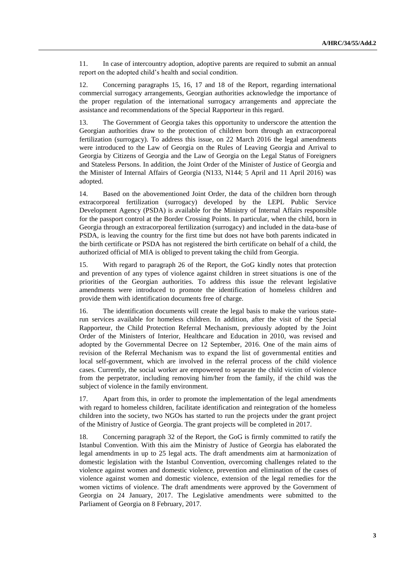11. In case of intercountry adoption, adoptive parents are required to submit an annual report on the adopted child's health and social condition.

12. Concerning paragraphs 15, 16, 17 and 18 of the Report, regarding international commercial surrogacy arrangements, Georgian authorities acknowledge the importance of the proper regulation of the international surrogacy arrangements and appreciate the assistance and recommendations of the Special Rapporteur in this regard.

13. The Government of Georgia takes this opportunity to underscore the attention the Georgian authorities draw to the protection of children born through an extracorporeal fertilization (surrogacy). To address this issue, on 22 March 2016 the legal amendments were introduced to the Law of Georgia on the Rules of Leaving Georgia and Arrival to Georgia by Citizens of Georgia and the Law of Georgia on the Legal Status of Foreigners and Stateless Persons. In addition, the Joint Order of the Minister of Justice of Georgia and the Minister of Internal Affairs of Georgia (N133, N144; 5 April and 11 April 2016) was adopted.

14. Based on the abovementioned Joint Order, the data of the children born through extracorporeal fertilization (surrogacy) developed by the LEPL Public Service Development Agency (PSDA) is available for the Ministry of Internal Affairs responsible for the passport control at the Border Crossing Points. In particular, when the child, born in Georgia through an extracorporeal fertilization (surrogacy) and included in the data-base of PSDA, is leaving the country for the first time but does not have both parents indicated in the birth certificate or PSDA has not registered the birth certificate on behalf of a child, the authorized official of MIA is obliged to prevent taking the child from Georgia.

15. With regard to paragraph 26 of the Report, the GoG kindly notes that protection and prevention of any types of violence against children in street situations is one of the priorities of the Georgian authorities. To address this issue the relevant legislative amendments were introduced to promote the identification of homeless children and provide them with identification documents free of charge.

16. The identification documents will create the legal basis to make the various staterun services available for homeless children. In addition, after the visit of the Special Rapporteur, the Child Protection Referral Mechanism, previously adopted by the Joint Order of the Ministers of Interior, Healthcare and Education in 2010, was revised and adopted by the Governmental Decree on 12 September, 2016. One of the main aims of revision of the Referral Mechanism was to expand the list of governmental entities and local self-government, which are involved in the referral process of the child violence cases. Currently, the social worker are empowered to separate the child victim of violence from the perpetrator, including removing him/her from the family, if the child was the subject of violence in the family environment.

17. Apart from this, in order to promote the implementation of the legal amendments with regard to homeless children, facilitate identification and reintegration of the homeless children into the society, two NGOs has started to run the projects under the grant project of the Ministry of Justice of Georgia. The grant projects will be completed in 2017.

18. Concerning paragraph 32 of the Report, the GoG is firmly committed to ratify the Istanbul Convention. With this aim the Ministry of Justice of Georgia has elaborated the legal amendments in up to 25 legal acts. The draft amendments aim at harmonization of domestic legislation with the Istanbul Convention, overcoming challenges related to the violence against women and domestic violence, prevention and elimination of the cases of violence against women and domestic violence, extension of the legal remedies for the women victims of violence. The draft amendments were approved by the Government of Georgia on 24 January, 2017. The Legislative amendments were submitted to the Parliament of Georgia on 8 February, 2017.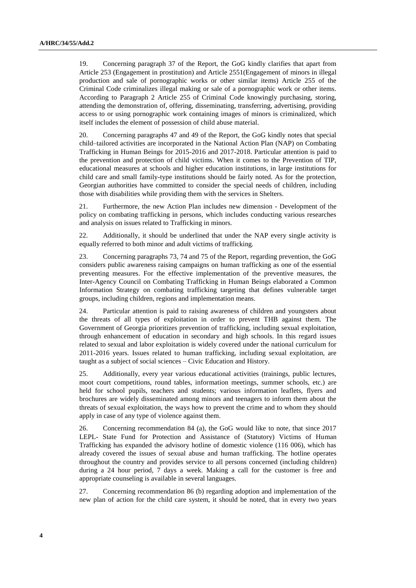19. Concerning paragraph 37 of the Report, the GoG kindly clarifies that apart from Article 253 (Engagement in prostitution) and Article 2551(Engagement of minors in illegal production and sale of pornographic works or other similar items) Article 255 of the Criminal Code criminalizes illegal making or sale of a pornographic work or other items. According to Paragraph 2 Article 255 of Criminal Code knowingly purchasing, storing, attending the demonstration of, offering, disseminating, transferring, advertising, providing access to or using pornographic work containing images of minors is criminalized, which itself includes the element of possession of child abuse material.

20. Concerning paragraphs 47 and 49 of the Report, the GoG kindly notes that special child–tailored activities are incorporated in the National Action Plan (NAP) on Combating Trafficking in Human Beings for 2015-2016 and 2017-2018. Particular attention is paid to the prevention and protection of child victims. When it comes to the Prevention of TIP, educational measures at schools and higher education institutions, in large institutions for child care and small family-type institutions should be fairly noted. As for the protection, Georgian authorities have committed to consider the special needs of children, including those with disabilities while providing them with the services in Shelters.

21. Furthermore, the new Action Plan includes new dimension - Development of the policy on combating trafficking in persons, which includes conducting various researches and analysis on issues related to Trafficking in minors.

22. Additionally, it should be underlined that under the NAP every single activity is equally referred to both minor and adult victims of trafficking.

23. Concerning paragraphs 73, 74 and 75 of the Report, regarding prevention, the GoG considers public awareness raising campaigns on human trafficking as one of the essential preventing measures. For the effective implementation of the preventive measures, the Inter-Agency Council on Combating Trafficking in Human Beings elaborated a Common Information Strategy on combating trafficking targeting that defines vulnerable target groups, including children, regions and implementation means.

24. Particular attention is paid to raising awareness of children and youngsters about the threats of all types of exploitation in order to prevent THB against them. The Government of Georgia prioritizes prevention of trafficking, including sexual exploitation, through enhancement of education in secondary and high schools. In this regard issues related to sexual and labor exploitation is widely covered under the national curriculum for 2011-2016 years. Issues related to human trafficking, including sexual exploitation, are taught as a subject of social sciences – Civic Education and History.

25. Additionally, every year various educational activities (trainings, public lectures, moot court competitions, round tables, information meetings, summer schools, etc.) are held for school pupils, teachers and students; various information leaflets, flyers and brochures are widely disseminated among minors and teenagers to inform them about the threats of sexual exploitation, the ways how to prevent the crime and to whom they should apply in case of any type of violence against them.

26. Concerning recommendation 84 (a), the GoG would like to note, that since 2017 LEPL- State Fund for Protection and Assistance of (Statutory) Victims of Human Trafficking has expanded the advisory hotline of domestic violence (116 006), which has already covered the issues of sexual abuse and human trafficking. The hotline operates throughout the country and provides service to all persons concerned (including children) during a 24 hour period, 7 days a week. Making a call for the customer is free and appropriate counseling is available in several languages.

27. Concerning recommendation 86 (b) regarding adoption and implementation of the new plan of action for the child care system, it should be noted, that in every two years